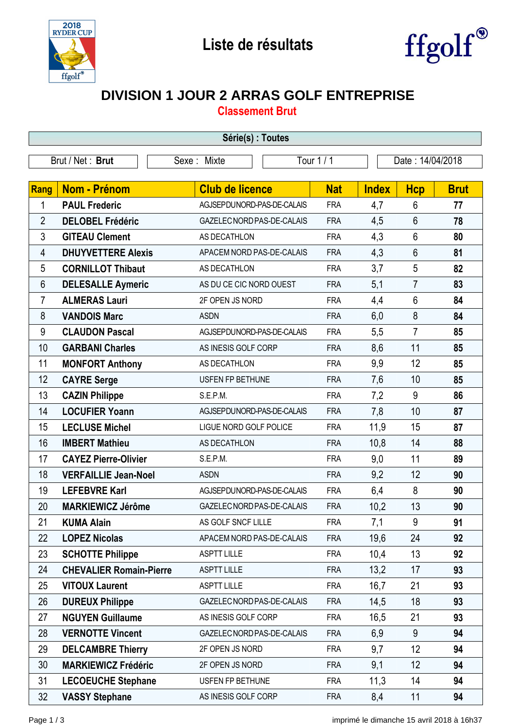



## **DIVISION 1 JOUR 2 ARRAS GOLF ENTREPRISE**

**Classement Brut**

| Série(s) : Toutes |                                |  |                            |                            |                  |              |                |             |
|-------------------|--------------------------------|--|----------------------------|----------------------------|------------------|--------------|----------------|-------------|
| Brut / Net: Brut  |                                |  | Tour 1 / 1<br>Sexe: Mixte  |                            | Date: 14/04/2018 |              |                |             |
|                   |                                |  |                            |                            |                  |              |                |             |
| Rang              | Nom - Prénom                   |  | <b>Club de licence</b>     |                            | <b>Nat</b>       | <b>Index</b> | <b>Hcp</b>     | <b>Brut</b> |
| 1                 | <b>PAUL Frederic</b>           |  |                            | AGJSEPDUNORD-PAS-DE-CALAIS |                  | 4,7          | $6\phantom{1}$ | 77          |
| $\overline{2}$    | <b>DELOBEL Frédéric</b>        |  | GAZELEC NORD PAS-DE-CALAIS |                            | <b>FRA</b>       | 4,5          | $6\phantom{1}$ | 78          |
| 3                 | <b>GITEAU Clement</b>          |  | AS DECATHLON               |                            | <b>FRA</b>       | 4,3          | $6\phantom{1}$ | 80          |
| 4                 | <b>DHUYVETTERE Alexis</b>      |  | APACEM NORD PAS-DE-CALAIS  |                            | <b>FRA</b>       | 4,3          | $6\phantom{1}$ | 81          |
| 5                 | <b>CORNILLOT Thibaut</b>       |  |                            | AS DECATHLON               |                  | 3,7          | 5              | 82          |
| 6                 | <b>DELESALLE Aymeric</b>       |  | AS DU CE CIC NORD OUEST    |                            | <b>FRA</b>       | 5,1          | $\overline{7}$ | 83          |
| 7                 | <b>ALMERAS Lauri</b>           |  | 2F OPEN JS NORD            |                            | <b>FRA</b>       | 4,4          | $6\phantom{1}$ | 84          |
| 8                 | <b>VANDOIS Marc</b>            |  | <b>ASDN</b>                |                            | <b>FRA</b>       | 6,0          | 8              | 84          |
| 9                 | <b>CLAUDON Pascal</b>          |  | AGJSEPDUNORD-PAS-DE-CALAIS |                            | <b>FRA</b>       | 5,5          | $\overline{7}$ | 85          |
| 10                | <b>GARBANI Charles</b>         |  | AS INESIS GOLF CORP        |                            | <b>FRA</b>       | 8,6          | 11             | 85          |
| 11                | <b>MONFORT Anthony</b>         |  | AS DECATHLON               |                            | <b>FRA</b>       | 9,9          | 12             | 85          |
| 12                | <b>CAYRE Serge</b>             |  | USFEN FP BETHUNE           |                            | <b>FRA</b>       | 7,6          | 10             | 85          |
| 13                | <b>CAZIN Philippe</b>          |  | S.E.P.M.                   |                            | <b>FRA</b>       | 7,2          | 9              | 86          |
| 14                | <b>LOCUFIER Yoann</b>          |  | AGJSEPDUNORD-PAS-DE-CALAIS |                            | <b>FRA</b>       | 7,8          | 10             | 87          |
| 15                | <b>LECLUSE Michel</b>          |  | LIGUE NORD GOLF POLICE     |                            | <b>FRA</b>       | 11,9         | 15             | 87          |
| 16                | <b>IMBERT Mathieu</b>          |  | AS DECATHLON               |                            | <b>FRA</b>       | 10,8         | 14             | 88          |
| 17                | <b>CAYEZ Pierre-Olivier</b>    |  | S.E.P.M.                   |                            | <b>FRA</b>       | 9,0          | 11             | 89          |
| 18                | <b>VERFAILLIE Jean-Noel</b>    |  | <b>ASDN</b>                |                            | <b>FRA</b>       | 9,2          | 12             | 90          |
| 19                | <b>LEFEBVRE Karl</b>           |  | AGJSEPDUNORD-PAS-DE-CALAIS |                            | <b>FRA</b>       | 6,4          | 8              | 90          |
| 20                | <b>MARKIEWICZ Jérôme</b>       |  | GAZELEC NORD PAS-DE-CALAIS |                            | <b>FRA</b>       | 10,2         | 13             | 90          |
| 21                | <b>KUMA Alain</b>              |  | AS GOLF SNCF LILLE         |                            | <b>FRA</b>       | 7,1          | 9              | 91          |
| 22                | <b>LOPEZ Nicolas</b>           |  | APACEM NORD PAS-DE-CALAIS  |                            | <b>FRA</b>       | 19,6         | 24             | 92          |
| 23                | <b>SCHOTTE Philippe</b>        |  | <b>ASPTT LILLE</b>         |                            | <b>FRA</b>       | 10,4         | 13             | 92          |
| 24                | <b>CHEVALIER Romain-Pierre</b> |  | <b>ASPTT LILLE</b>         |                            | <b>FRA</b>       | 13,2         | 17             | 93          |
| 25                | <b>VITOUX Laurent</b>          |  | <b>ASPTT LILLE</b>         |                            | <b>FRA</b>       | 16,7         | 21             | 93          |
| 26                | <b>DUREUX Philippe</b>         |  | GAZELEC NORD PAS-DE-CALAIS |                            | <b>FRA</b>       | 14,5         | 18             | 93          |
| 27                | <b>NGUYEN Guillaume</b>        |  | AS INESIS GOLF CORP        |                            | <b>FRA</b>       | 16,5         | 21             | 93          |
| 28                | <b>VERNOTTE Vincent</b>        |  | GAZELEC NORD PAS-DE-CALAIS |                            | <b>FRA</b>       | 6,9          | 9              | 94          |
| 29                | <b>DELCAMBRE Thierry</b>       |  | 2F OPEN JS NORD            |                            | <b>FRA</b>       | 9,7          | 12             | 94          |
| 30                | <b>MARKIEWICZ Frédéric</b>     |  | 2F OPEN JS NORD            |                            | <b>FRA</b>       | 9,1          | 12             | 94          |
| 31                | <b>LECOEUCHE Stephane</b>      |  | USFEN FP BETHUNE           |                            | <b>FRA</b>       | 11,3         | 14             | 94          |
| 32                | <b>VASSY Stephane</b>          |  | AS INESIS GOLF CORP        |                            | <b>FRA</b>       | 8,4          | 11             | 94          |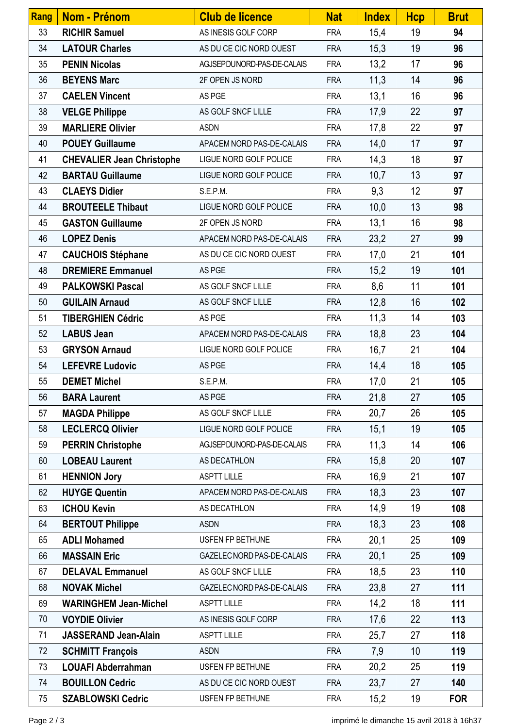| Rang | Nom - Prénom                     | <b>Club de licence</b>     | <b>Nat</b> | <b>Index</b> | <b>Hcp</b> | <b>Brut</b> |
|------|----------------------------------|----------------------------|------------|--------------|------------|-------------|
| 33   | <b>RICHIR Samuel</b>             | AS INESIS GOLF CORP        | <b>FRA</b> | 15,4         | 19         | 94          |
| 34   | <b>LATOUR Charles</b>            | AS DU CE CIC NORD OUEST    | <b>FRA</b> | 15,3         | 19         | 96          |
| 35   | <b>PENIN Nicolas</b>             | AGJSEPDUNORD-PAS-DE-CALAIS | <b>FRA</b> | 13,2         | 17         | 96          |
| 36   | <b>BEYENS Marc</b>               | 2F OPEN JS NORD            | <b>FRA</b> | 11,3         | 14         | 96          |
| 37   | <b>CAELEN Vincent</b>            | AS PGE                     | <b>FRA</b> | 13,1         | 16         | 96          |
| 38   | <b>VELGE Philippe</b>            | AS GOLF SNCF LILLE         | <b>FRA</b> | 17,9         | 22         | 97          |
| 39   | <b>MARLIERE Olivier</b>          | <b>ASDN</b>                | <b>FRA</b> | 17,8         | 22         | 97          |
| 40   | <b>POUEY Guillaume</b>           | APACEM NORD PAS-DE-CALAIS  | <b>FRA</b> | 14,0         | 17         | 97          |
| 41   | <b>CHEVALIER Jean Christophe</b> | LIGUE NORD GOLF POLICE     | <b>FRA</b> | 14,3         | 18         | 97          |
| 42   | <b>BARTAU Guillaume</b>          | LIGUE NORD GOLF POLICE     | <b>FRA</b> | 10,7         | 13         | 97          |
| 43   | <b>CLAEYS Didier</b>             | S.E.P.M.                   | <b>FRA</b> | 9,3          | 12         | 97          |
| 44   | <b>BROUTEELE Thibaut</b>         | LIGUE NORD GOLF POLICE     | <b>FRA</b> | 10,0         | 13         | 98          |
| 45   | <b>GASTON Guillaume</b>          | 2F OPEN JS NORD            | <b>FRA</b> | 13,1         | 16         | 98          |
| 46   | <b>LOPEZ Denis</b>               | APACEM NORD PAS-DE-CALAIS  | <b>FRA</b> | 23,2         | 27         | 99          |
| 47   | <b>CAUCHOIS Stéphane</b>         | AS DU CE CIC NORD OUEST    | <b>FRA</b> | 17,0         | 21         | 101         |
| 48   | <b>DREMIERE Emmanuel</b>         | AS PGE                     | <b>FRA</b> | 15,2         | 19         | 101         |
| 49   | <b>PALKOWSKI Pascal</b>          | AS GOLF SNCF LILLE         | <b>FRA</b> | 8,6          | 11         | 101         |
| 50   | <b>GUILAIN Arnaud</b>            | AS GOLF SNCF LILLE         | <b>FRA</b> | 12,8         | 16         | 102         |
| 51   | <b>TIBERGHIEN Cédric</b>         | AS PGE                     | <b>FRA</b> | 11,3         | 14         | 103         |
| 52   | <b>LABUS Jean</b>                | APACEM NORD PAS-DE-CALAIS  | <b>FRA</b> | 18,8         | 23         | 104         |
| 53   | <b>GRYSON Arnaud</b>             | LIGUE NORD GOLF POLICE     | <b>FRA</b> | 16,7         | 21         | 104         |
| 54   | <b>LEFEVRE Ludovic</b>           | AS PGE                     | <b>FRA</b> | 14,4         | 18         | 105         |
| 55   | <b>DEMET Michel</b>              | S.E.P.M.                   | <b>FRA</b> | 17,0         | 21         | 105         |
| 56   | <b>BARA Laurent</b>              | AS PGE                     | <b>FRA</b> | 21,8         | 27         | 105         |
| 57   | <b>MAGDA Philippe</b>            | AS GOLF SNCF LILLE         | <b>FRA</b> | 20,7         | 26         | 105         |
| 58   | <b>LECLERCQ Olivier</b>          | LIGUE NORD GOLF POLICE     | <b>FRA</b> | 15,1         | 19         | 105         |
| 59   | <b>PERRIN Christophe</b>         | AGJSEPDUNORD-PAS-DE-CALAIS | <b>FRA</b> | 11,3         | 14         | 106         |
| 60   | <b>LOBEAU Laurent</b>            | AS DECATHLON               | <b>FRA</b> | 15,8         | 20         | 107         |
| 61   | <b>HENNION Jory</b>              | <b>ASPTT LILLE</b>         | <b>FRA</b> | 16,9         | 21         | 107         |
| 62   | <b>HUYGE Quentin</b>             | APACEM NORD PAS-DE-CALAIS  | <b>FRA</b> | 18,3         | 23         | 107         |
| 63   | <b>ICHOU Kevin</b>               | AS DECATHLON               | <b>FRA</b> | 14,9         | 19         | 108         |
| 64   | <b>BERTOUT Philippe</b>          | <b>ASDN</b>                | <b>FRA</b> | 18,3         | 23         | 108         |
| 65   | <b>ADLI Mohamed</b>              | USFEN FP BETHUNE           | <b>FRA</b> | 20,1         | 25         | 109         |
| 66   | <b>MASSAIN Eric</b>              | GAZELEC NORD PAS-DE-CALAIS | <b>FRA</b> | 20,1         | 25         | 109         |
| 67   | <b>DELAVAL Emmanuel</b>          | AS GOLF SNCF LILLE         | <b>FRA</b> | 18,5         | 23         | 110         |
| 68   | <b>NOVAK Michel</b>              | GAZELEC NORD PAS-DE-CALAIS | <b>FRA</b> | 23,8         | 27         | 111         |
| 69   | <b>WARINGHEM Jean-Michel</b>     | <b>ASPTT LILLE</b>         | <b>FRA</b> | 14,2         | 18         | 111         |
| 70   | <b>VOYDIE Olivier</b>            | AS INESIS GOLF CORP        | <b>FRA</b> | 17,6         | 22         | 113         |
| 71   | <b>JASSERAND Jean-Alain</b>      | <b>ASPTT LILLE</b>         | <b>FRA</b> | 25,7         | 27         | 118         |
| 72   | <b>SCHMITT François</b>          | <b>ASDN</b>                | <b>FRA</b> | 7,9          | 10         | 119         |
| 73   | <b>LOUAFI Abderrahman</b>        | USFEN FP BETHUNE           | <b>FRA</b> | 20,2         | 25         | 119         |
| 74   | <b>BOUILLON Cedric</b>           | AS DU CE CIC NORD OUEST    | <b>FRA</b> | 23,7         | 27         | 140         |
| 75   | <b>SZABLOWSKI Cedric</b>         | USFEN FP BETHUNE           | <b>FRA</b> | 15,2         | 19         | <b>FOR</b>  |